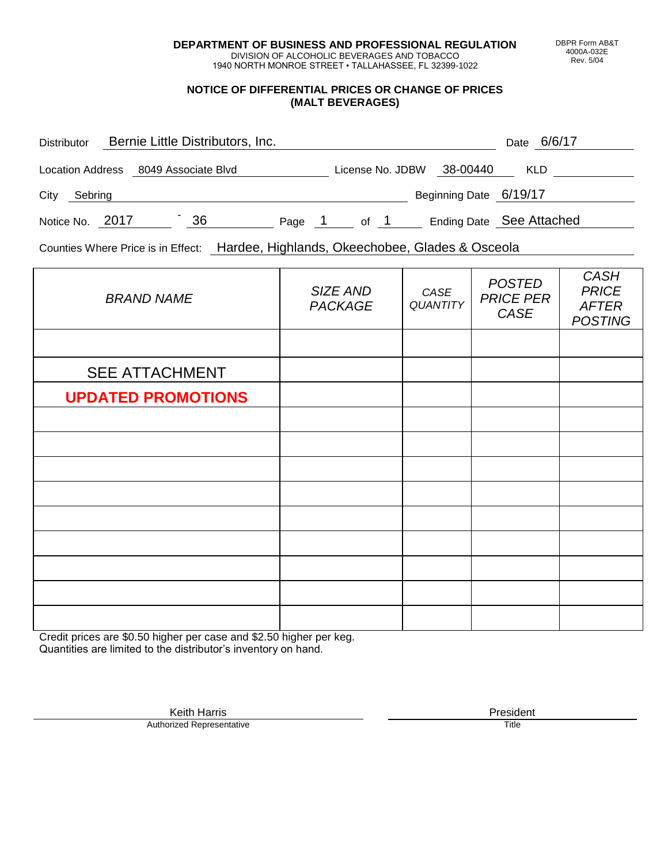**DEPARTMENT OF BUSINESS AND PROFESSIONAL REGULATION** DIVISION OF ALCOHOLIC BEVERAGES AND TOBACCO

1940 NORTH MONROE STREET • TALLAHASSEE, FL 32399-1022

## **NOTICE OF DIFFERENTIAL PRICES OR CHANGE OF PRICES (MALT BEVERAGES)**

| <b>Distributor</b>      | Bernie Little Distributors, Inc. |    |        |                  |                        | 6/6/17<br>Date           |
|-------------------------|----------------------------------|----|--------|------------------|------------------------|--------------------------|
| <b>Location Address</b> | 8049 Associate Blvd              |    |        | License No. JDBW | 38-00440               | <b>KLD</b>               |
| City<br>Sebring         |                                  |    |        |                  | Beginning Date 6/19/17 |                          |
| Notice No. 2017         |                                  | 36 | Page 1 | of 1             |                        | Ending Date See Attached |

Counties Where Price is in Effect: Hardee, Highlands, Okeechobee, Glades & Osceola

| <b>BRAND NAME</b>         | SIZE AND<br><b>PACKAGE</b> | CASE<br><b>QUANTITY</b> | <b>POSTED</b><br><b>PRICE PER</b><br>CASE | <b>CASH</b><br><b>PRICE</b><br><b>AFTER</b><br><b>POSTING</b> |
|---------------------------|----------------------------|-------------------------|-------------------------------------------|---------------------------------------------------------------|
|                           |                            |                         |                                           |                                                               |
| <b>SEE ATTACHMENT</b>     |                            |                         |                                           |                                                               |
| <b>UPDATED PROMOTIONS</b> |                            |                         |                                           |                                                               |
|                           |                            |                         |                                           |                                                               |
|                           |                            |                         |                                           |                                                               |
|                           |                            |                         |                                           |                                                               |
|                           |                            |                         |                                           |                                                               |
|                           |                            |                         |                                           |                                                               |
|                           |                            |                         |                                           |                                                               |
|                           |                            |                         |                                           |                                                               |
|                           |                            |                         |                                           |                                                               |
|                           |                            |                         |                                           |                                                               |

Credit prices are \$0.50 higher per case and \$2.50 higher per keg. Quantities are limited to the distributor's inventory on hand.

> Keith Harris **President**<br> **President**<br>
> Prized Representative **President Authorized Representative**

DBPR Form AB&T 4000A-032E Rev. 5/04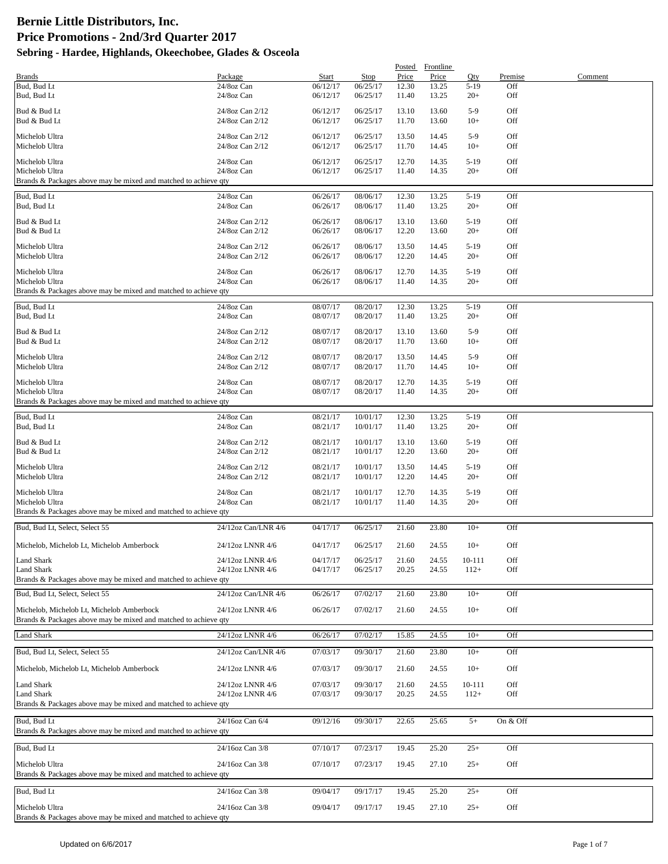|                                                                                                              |                                      |                      |                      | Posted         | Frontline      |                  |                |         |
|--------------------------------------------------------------------------------------------------------------|--------------------------------------|----------------------|----------------------|----------------|----------------|------------------|----------------|---------|
| <b>Brands</b><br>Bud, Bud Lt                                                                                 | Package<br>24/8oz Can                | Start<br>06/12/17    | Stop<br>06/25/17     | Price<br>12.30 | Price<br>13.25 | Oty<br>$5-19$    | Premise<br>Off | Comment |
| Bud, Bud Lt                                                                                                  | 24/8oz Can                           | 06/12/17             | 06/25/17             | 11.40          | 13.25          | $20+$            | Off            |         |
| Bud & Bud Lt                                                                                                 | 24/8oz Can 2/12                      | 06/12/17             | 06/25/17             | 13.10          | 13.60          | $5-9$            | Off            |         |
| Bud & Bud Lt                                                                                                 | 24/8oz Can 2/12                      | 06/12/17             | 06/25/17             | 11.70          | 13.60          | $10+$            | Off            |         |
| Michelob Ultra                                                                                               | 24/8oz Can 2/12                      | 06/12/17             | 06/25/17             | 13.50          | 14.45          | $5-9$            | Off            |         |
| Michelob Ultra                                                                                               | 24/8oz Can 2/12                      | 06/12/17             | 06/25/17             | 11.70          | 14.45          | $10+$            | Off            |         |
| Michelob Ultra                                                                                               | 24/8oz Can                           | 06/12/17             | 06/25/17             | 12.70          | 14.35          | $5-19$           | Off            |         |
| Michelob Ultra<br>Brands & Packages above may be mixed and matched to achieve qty                            | 24/8oz Can                           | 06/12/17             | 06/25/17             | 11.40          | 14.35          | $20+$            | Off            |         |
|                                                                                                              |                                      |                      |                      |                |                |                  |                |         |
| Bud, Bud Lt<br>Bud, Bud Lt                                                                                   | 24/8oz Can<br>24/8oz Can             | 06/26/17<br>06/26/17 | 08/06/17<br>08/06/17 | 12.30<br>11.40 | 13.25<br>13.25 | $5-19$<br>$20+$  | Off<br>Off     |         |
|                                                                                                              |                                      |                      |                      |                |                |                  |                |         |
| Bud & Bud Lt<br>Bud & Bud Lt                                                                                 | 24/8oz Can 2/12<br>24/8oz Can 2/12   | 06/26/17<br>06/26/17 | 08/06/17<br>08/06/17 | 13.10<br>12.20 | 13.60<br>13.60 | $5-19$<br>$20+$  | Off<br>Off     |         |
| Michelob Ultra                                                                                               | 24/8oz Can 2/12                      | 06/26/17             | 08/06/17             | 13.50          | 14.45          | $5-19$           | Off            |         |
| Michelob Ultra                                                                                               | 24/8oz Can 2/12                      | 06/26/17             | 08/06/17             | 12.20          | 14.45          | $20+$            | Off            |         |
| Michelob Ultra                                                                                               | 24/8oz Can                           | 06/26/17             | 08/06/17             | 12.70          | 14.35          | $5-19$           | Off            |         |
| Michelob Ultra                                                                                               | 24/8oz Can                           | 06/26/17             | 08/06/17             | 11.40          | 14.35          | $20+$            | Off            |         |
| Brands & Packages above may be mixed and matched to achieve qty                                              |                                      |                      |                      |                |                |                  |                |         |
| Bud, Bud Lt                                                                                                  | 24/8oz Can                           | 08/07/17             | 08/20/17             | 12.30          | 13.25          | $5-19$           | Off            |         |
| Bud, Bud Lt                                                                                                  | 24/8oz Can                           | 08/07/17             | 08/20/17             | 11.40          | 13.25          | $20+$            | Off            |         |
| Bud & Bud Lt                                                                                                 | 24/8oz Can 2/12                      | 08/07/17             | 08/20/17             | 13.10          | 13.60          | $5-9$            | Off            |         |
| Bud & Bud Lt                                                                                                 | 24/8oz Can 2/12                      | 08/07/17             | 08/20/17             | 11.70          | 13.60          | $10+$            | Off            |         |
| Michelob Ultra                                                                                               | 24/8oz Can 2/12                      | 08/07/17             | 08/20/17             | 13.50          | 14.45          | $5-9$            | Off            |         |
| Michelob Ultra                                                                                               | 24/8oz Can 2/12                      | 08/07/17             | 08/20/17             | 11.70          | 14.45          | $10+$            | Off            |         |
| Michelob Ultra                                                                                               | 24/8oz Can                           | 08/07/17             | 08/20/17             | 12.70          | 14.35          | $5-19$           | Off            |         |
| Michelob Ultra<br>Brands & Packages above may be mixed and matched to achieve qty                            | 24/8oz Can                           | 08/07/17             | 08/20/17             | 11.40          | 14.35          | $20+$            | Off            |         |
|                                                                                                              |                                      |                      |                      |                |                |                  |                |         |
| Bud, Bud Lt<br>Bud, Bud Lt                                                                                   | 24/8oz Can<br>24/8oz Can             | 08/21/17<br>08/21/17 | 10/01/17<br>10/01/17 | 12.30<br>11.40 | 13.25<br>13.25 | $5-19$<br>$20+$  | Off<br>Off     |         |
| Bud & Bud Lt                                                                                                 | 24/8oz Can 2/12                      | 08/21/17             | 10/01/17             | 13.10          | 13.60          | $5-19$           | Off            |         |
| Bud & Bud Lt                                                                                                 | 24/8oz Can 2/12                      | 08/21/17             | 10/01/17             | 12.20          | 13.60          | $20+$            | Off            |         |
| Michelob Ultra                                                                                               | 24/8oz Can 2/12                      | 08/21/17             | 10/01/17             | 13.50          | 14.45          | $5-19$           | Off            |         |
| Michelob Ultra                                                                                               | 24/8oz Can 2/12                      | 08/21/17             | 10/01/17             | 12.20          | 14.45          | $20+$            | Off            |         |
| Michelob Ultra                                                                                               | 24/8oz Can                           | 08/21/17             | 10/01/17             | 12.70          | 14.35          | $5-19$           | Off            |         |
| Michelob Ultra                                                                                               | 24/8oz Can                           | 08/21/17             | 10/01/17             | 11.40          | 14.35          | $20+$            | Off            |         |
| Brands & Packages above may be mixed and matched to achieve qty                                              |                                      |                      |                      |                |                |                  |                |         |
| Bud, Bud Lt, Select, Select 55                                                                               | 24/12oz Can/LNR 4/6                  | 04/17/17             | 06/25/17             | 21.60          | 23.80          | $10+$            | Off            |         |
| Michelob, Michelob Lt, Michelob Amberbock                                                                    | 24/12oz LNNR 4/6                     | 04/17/17             | 06/25/17             | 21.60          | 24.55          | $10+$            | Off            |         |
| Land Shark                                                                                                   | 24/12oz LNNR 4/6                     | 04/17/17             | 06/25/17             | 21.60          | 24.55          | 10-111           | Off            |         |
| <b>Land Shark</b><br>Brands & Packages above may be mixed and matched to achieve gty                         | 24/12oz LNNR 4/6                     | 04/17/17             | 06/25/17             | 20.25          | 24.55          | $112+$           | Off            |         |
| Bud, Bud Lt, Select, Select 55                                                                               | 24/12oz Can/LNR 4/6                  | 06/26/17             | 07/02/17             | 21.60          | 23.80          | $10+$            | Off            |         |
|                                                                                                              |                                      |                      |                      |                |                |                  |                |         |
| Michelob, Michelob Lt, Michelob Amberbock<br>Brands & Packages above may be mixed and matched to achieve qty | 24/12oz LNNR 4/6                     | 06/26/17             | 07/02/17             | 21.60          | 24.55          | $10+$            | Off            |         |
| <b>Land Shark</b>                                                                                            | 24/12oz LNNR 4/6                     | 06/26/17             | 07/02/17             | 15.85          | 24.55          | $10+$            | Off            |         |
| Bud, Bud Lt, Select, Select 55                                                                               | 24/12oz Can/LNR 4/6                  | 07/03/17             | 09/30/17             | 21.60          | 23.80          | $10+$            | Off            |         |
| Michelob, Michelob Lt, Michelob Amberbock                                                                    | 24/12oz LNNR 4/6                     | 07/03/17             | 09/30/17             | 21.60          | 24.55          | $10+$            | Off            |         |
|                                                                                                              |                                      |                      |                      |                |                |                  | Off            |         |
| Land Shark<br>Land Shark                                                                                     | 24/12oz LNNR 4/6<br>24/12oz LNNR 4/6 | 07/03/17<br>07/03/17 | 09/30/17<br>09/30/17 | 21.60<br>20.25 | 24.55<br>24.55 | 10-111<br>$112+$ | Off            |         |
| Brands & Packages above may be mixed and matched to achieve qty                                              |                                      |                      |                      |                |                |                  |                |         |
|                                                                                                              |                                      |                      |                      |                |                |                  |                |         |
| Bud, Bud Lt<br>Brands & Packages above may be mixed and matched to achieve qty                               | 24/16oz Can 6/4                      | 09/12/16             | 09/30/17             | 22.65          | 25.65          | $5+$             | On & Off       |         |
| Bud, Bud Lt                                                                                                  | 24/16oz Can 3/8                      | 07/10/17             | 07/23/17             | 19.45          | 25.20          | $25+$            | Off            |         |
|                                                                                                              |                                      |                      |                      |                |                |                  |                |         |
| Michelob Ultra<br>Brands & Packages above may be mixed and matched to achieve qty                            | 24/16oz Can 3/8                      | 07/10/17             | 07/23/17             | 19.45          | 27.10          | $25+$            | Off            |         |
| Bud, Bud Lt                                                                                                  | 24/16oz Can 3/8                      | 09/04/17             | 09/17/17             | 19.45          | 25.20          | $25+$            | Off            |         |
|                                                                                                              |                                      |                      |                      |                |                |                  |                |         |
| Michelob Ultra<br>Brands & Packages above may be mixed and matched to achieve qty                            | 24/16oz Can 3/8                      | 09/04/17             | 09/17/17             | 19.45          | 27.10          | $25+$            | Off            |         |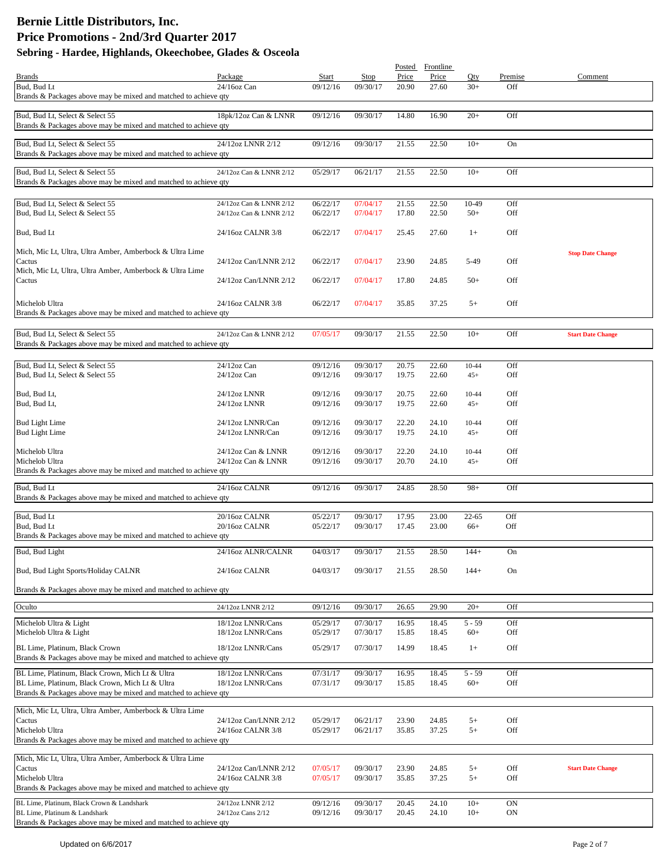|                                                                    |                         |          |          | Posted | Frontline |           |           |                          |
|--------------------------------------------------------------------|-------------------------|----------|----------|--------|-----------|-----------|-----------|--------------------------|
| <b>Brands</b>                                                      | Package                 | Start    | Stop     | Price  | Price     | Oty       | Premise   | Comment                  |
| Bud, Bud Lt                                                        | 24/16oz Can             | 09/12/16 | 09/30/17 | 20.90  | 27.60     | $30+$     | Off       |                          |
| Brands & Packages above may be mixed and matched to achieve qty    |                         |          |          |        |           |           |           |                          |
| Bud, Bud Lt, Select & Select 55                                    | 18pk/12oz Can & LNNR    | 09/12/16 | 09/30/17 | 14.80  | 16.90     | $20+$     | Off       |                          |
| Brands & Packages above may be mixed and matched to achieve qty    |                         |          |          |        |           |           |           |                          |
|                                                                    |                         |          |          |        |           |           |           |                          |
| Bud, Bud Lt, Select & Select 55                                    | 24/12oz LNNR 2/12       | 09/12/16 | 09/30/17 | 21.55  | 22.50     | $10+$     | On        |                          |
| Brands & Packages above may be mixed and matched to achieve qty    |                         |          |          |        |           |           |           |                          |
| Bud, Bud Lt, Select & Select 55                                    | 24/12oz Can & LNNR 2/12 | 05/29/17 | 06/21/17 | 21.55  | 22.50     | $10+$     | Off       |                          |
| Brands & Packages above may be mixed and matched to achieve qty    |                         |          |          |        |           |           |           |                          |
|                                                                    |                         |          |          |        |           |           |           |                          |
| Bud, Bud Lt, Select & Select 55                                    | 24/12oz Can & LNNR 2/12 | 06/22/17 | 07/04/17 | 21.55  | 22.50     | 10-49     | Off       |                          |
| Bud, Bud Lt, Select & Select 55                                    | 24/12oz Can & LNNR 2/12 | 06/22/17 | 07/04/17 | 17.80  | 22.50     | $50+$     | Off       |                          |
|                                                                    |                         |          |          |        |           |           |           |                          |
| Bud, Bud Lt                                                        | 24/16oz CALNR 3/8       | 06/22/17 | 07/04/17 | 25.45  | 27.60     | $1+$      | Off       |                          |
|                                                                    |                         |          |          |        |           |           |           |                          |
| Mich, Mic Lt, Ultra, Ultra Amber, Amberbock & Ultra Lime           | 24/12oz Can/LNNR 2/12   | 06/22/17 | 07/04/17 | 23.90  | 24.85     | 5-49      | Off       | <b>Stop Date Change</b>  |
| Cactus<br>Mich, Mic Lt, Ultra, Ultra Amber, Amberbock & Ultra Lime |                         |          |          |        |           |           |           |                          |
| Cactus                                                             | 24/12oz Can/LNNR 2/12   | 06/22/17 | 07/04/17 | 17.80  | 24.85     | $50+$     | Off       |                          |
|                                                                    |                         |          |          |        |           |           |           |                          |
| Michelob Ultra                                                     | 24/16oz CALNR 3/8       | 06/22/17 | 07/04/17 | 35.85  | 37.25     | $5+$      | Off       |                          |
| Brands & Packages above may be mixed and matched to achieve qty    |                         |          |          |        |           |           |           |                          |
|                                                                    |                         |          |          |        |           |           |           |                          |
| Bud, Bud Lt, Select & Select 55                                    | 24/12oz Can & LNNR 2/12 | 07/05/17 | 09/30/17 | 21.55  | 22.50     | $10+$     | Off       | <b>Start Date Change</b> |
| Brands & Packages above may be mixed and matched to achieve qty    |                         |          |          |        |           |           |           |                          |
|                                                                    |                         |          |          |        |           |           |           |                          |
| Bud, Bud Lt, Select & Select 55                                    | 24/12oz Can             | 09/12/16 | 09/30/17 | 20.75  | 22.60     | $10 - 44$ | Off       |                          |
| Bud, Bud Lt, Select & Select 55                                    | $24/12$ oz Can          | 09/12/16 | 09/30/17 | 19.75  | 22.60     | $45+$     | Off       |                          |
|                                                                    |                         |          |          |        |           |           |           |                          |
| Bud, Bud Lt,                                                       | 24/12oz LNNR            | 09/12/16 | 09/30/17 | 20.75  | 22.60     | $10-44$   | Off       |                          |
| Bud, Bud Lt,                                                       | 24/12oz LNNR            | 09/12/16 | 09/30/17 | 19.75  | 22.60     | $45+$     | Off       |                          |
| <b>Bud Light Lime</b>                                              | 24/12oz LNNR/Can        | 09/12/16 | 09/30/17 | 22.20  | 24.10     | $10-44$   | Off       |                          |
| <b>Bud Light Lime</b>                                              | 24/12oz LNNR/Can        | 09/12/16 | 09/30/17 | 19.75  | 24.10     | $45+$     | Off       |                          |
|                                                                    |                         |          |          |        |           |           |           |                          |
| Michelob Ultra                                                     | 24/12oz Can & LNNR      | 09/12/16 | 09/30/17 | 22.20  | 24.10     | $10-44$   | Off       |                          |
| Michelob Ultra                                                     | 24/12oz Can & LNNR      | 09/12/16 | 09/30/17 | 20.70  | 24.10     | $45+$     | Off       |                          |
| Brands & Packages above may be mixed and matched to achieve qty    |                         |          |          |        |           |           |           |                          |
| Bud, Bud Lt                                                        | 24/16oz CALNR           | 09/12/16 | 09/30/17 | 24.85  | 28.50     | $98+$     | Off       |                          |
| Brands & Packages above may be mixed and matched to achieve qty    |                         |          |          |        |           |           |           |                          |
|                                                                    |                         |          |          |        |           |           |           |                          |
| Bud, Bud Lt                                                        | 20/16oz CALNR           | 05/22/17 | 09/30/17 | 17.95  | 23.00     | $22 - 65$ | Off       |                          |
| Bud, Bud Lt                                                        | 20/16oz CALNR           | 05/22/17 | 09/30/17 | 17.45  | 23.00     | 66+       | Off       |                          |
| Brands & Packages above may be mixed and matched to achieve qty    |                         |          |          |        |           |           |           |                          |
| Bud, Bud Light                                                     | 24/16oz ALNR/CALNR      | 04/03/17 | 09/30/17 | 21.55  | 28.50     | $144 +$   | On        |                          |
|                                                                    |                         |          |          |        |           |           |           |                          |
| Bud, Bud Light Sports/Holiday CALNR                                | 24/16oz CALNR           | 04/03/17 | 09/30/17 | 21.55  | 28.50     | $144+$    | On        |                          |
|                                                                    |                         |          |          |        |           |           |           |                          |
| Brands & Packages above may be mixed and matched to achieve qty    |                         |          |          |        |           |           |           |                          |
| Oculto                                                             | 24/12oz LNNR 2/12       | 09/12/16 | 09/30/17 | 26.65  | 29.90     | $20+$     | Off       |                          |
|                                                                    |                         |          |          |        |           |           |           |                          |
| Michelob Ultra & Light                                             | 18/12oz LNNR/Cans       | 05/29/17 | 07/30/17 | 16.95  | 18.45     | $5 - 59$  | Off       |                          |
| Michelob Ultra & Light                                             | 18/12oz LNNR/Cans       | 05/29/17 | 07/30/17 | 15.85  | 18.45     | $60+$     | Off       |                          |
| BL Lime, Platinum, Black Crown                                     | 18/12oz LNNR/Cans       | 05/29/17 | 07/30/17 | 14.99  | 18.45     | $1+$      | Off       |                          |
| Brands & Packages above may be mixed and matched to achieve qty    |                         |          |          |        |           |           |           |                          |
| BL Lime, Platinum, Black Crown, Mich Lt & Ultra                    | 18/12oz LNNR/Cans       | 07/31/17 | 09/30/17 | 16.95  | 18.45     | $5 - 59$  | Off       |                          |
| BL Lime, Platinum, Black Crown, Mich Lt & Ultra                    | 18/12oz LNNR/Cans       | 07/31/17 | 09/30/17 | 15.85  | 18.45     | $60+$     | Off       |                          |
| Brands & Packages above may be mixed and matched to achieve qty    |                         |          |          |        |           |           |           |                          |
|                                                                    |                         |          |          |        |           |           |           |                          |
| Mich, Mic Lt, Ultra, Ultra Amber, Amberbock & Ultra Lime           |                         |          |          |        |           |           |           |                          |
| Cactus                                                             | 24/12oz Can/LNNR 2/12   | 05/29/17 | 06/21/17 | 23.90  | 24.85     | $5+$      | Off       |                          |
| Michelob Ultra                                                     | 24/16oz CALNR 3/8       | 05/29/17 | 06/21/17 | 35.85  | 37.25     | $5+$      | Off       |                          |
| Brands & Packages above may be mixed and matched to achieve qty    |                         |          |          |        |           |           |           |                          |
| Mich, Mic Lt, Ultra, Ultra Amber, Amberbock & Ultra Lime           |                         |          |          |        |           |           |           |                          |
| Cactus                                                             | 24/12oz Can/LNNR 2/12   | 07/05/17 | 09/30/17 | 23.90  | 24.85     | $5+$      | Off       | <b>Start Date Change</b> |
| Michelob Ultra                                                     | 24/16oz CALNR 3/8       | 07/05/17 | 09/30/17 | 35.85  | 37.25     | $5+$      | Off       |                          |
| Brands & Packages above may be mixed and matched to achieve qty    |                         |          |          |        |           |           |           |                          |
| BL Lime, Platinum, Black Crown & Landshark                         | 24/12oz LNNR 2/12       | 09/12/16 | 09/30/17 | 20.45  | 24.10     | $10+$     | <b>ON</b> |                          |
| BL Lime, Platinum & Landshark                                      | 24/12oz Cans 2/12       | 09/12/16 | 09/30/17 | 20.45  | 24.10     | $10+$     | <b>ON</b> |                          |
| Brands & Packages above may be mixed and matched to achieve qty    |                         |          |          |        |           |           |           |                          |
|                                                                    |                         |          |          |        |           |           |           |                          |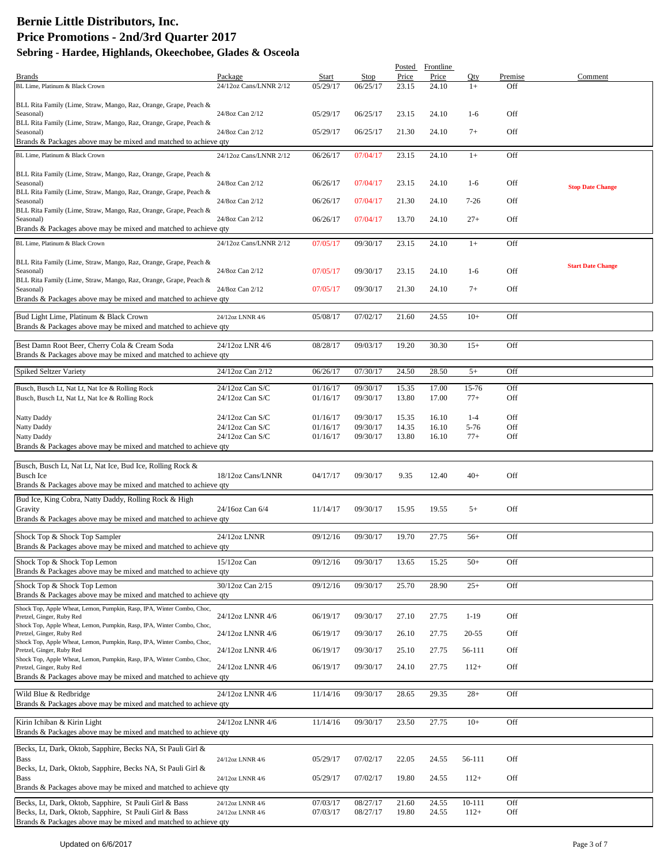|                                                                                                                  |                        |          |          | Posted | Frontline |            |         |                          |
|------------------------------------------------------------------------------------------------------------------|------------------------|----------|----------|--------|-----------|------------|---------|--------------------------|
| <b>Brands</b>                                                                                                    | Package                | Start    | Stop     | Price  | Price     | Oty        | Premise | Comment                  |
| BL Lime, Platinum & Black Crown                                                                                  | 24/12oz Cans/LNNR 2/12 | 05/29/17 | 06/25/17 | 23.15  | 24.10     | $1+$       | Off     |                          |
|                                                                                                                  |                        |          |          |        |           |            |         |                          |
| BLL Rita Family (Lime, Straw, Mango, Raz, Orange, Grape, Peach &                                                 |                        |          |          |        |           |            |         |                          |
| Seasonal)                                                                                                        | 24/8oz Can 2/12        | 05/29/17 | 06/25/17 | 23.15  | 24.10     | $1-6$      | Off     |                          |
| BLL Rita Family (Lime, Straw, Mango, Raz, Orange, Grape, Peach &                                                 |                        |          |          |        |           |            |         |                          |
| Seasonal)                                                                                                        | 24/8oz Can 2/12        | 05/29/17 | 06/25/17 | 21.30  | 24.10     | $7+$       | Off     |                          |
| Brands & Packages above may be mixed and matched to achieve qty                                                  |                        |          |          |        |           |            |         |                          |
| BL Lime, Platinum & Black Crown                                                                                  | 24/12oz Cans/LNNR 2/12 | 06/26/17 | 07/04/17 | 23.15  | 24.10     | $1+$       | Off     |                          |
|                                                                                                                  |                        |          |          |        |           |            |         |                          |
| BLL Rita Family (Lime, Straw, Mango, Raz, Orange, Grape, Peach &                                                 |                        |          |          |        |           |            |         |                          |
| Seasonal)                                                                                                        | 24/8oz Can 2/12        | 06/26/17 | 07/04/17 | 23.15  | 24.10     | $1-6$      | Off     | <b>Stop Date Change</b>  |
| BLL Rita Family (Lime, Straw, Mango, Raz, Orange, Grape, Peach &                                                 |                        |          |          |        |           |            |         |                          |
| Seasonal)                                                                                                        | 24/8oz Can 2/12        | 06/26/17 | 07/04/17 | 21.30  | 24.10     | $7 - 26$   | Off     |                          |
| BLL Rita Family (Lime, Straw, Mango, Raz, Orange, Grape, Peach &                                                 |                        |          |          |        |           |            |         |                          |
| Seasonal)                                                                                                        | 24/8oz Can 2/12        | 06/26/17 | 07/04/17 | 13.70  | 24.10     | $27+$      | Off     |                          |
| Brands & Packages above may be mixed and matched to achieve qty                                                  |                        |          |          |        |           |            |         |                          |
| BL Lime, Platinum & Black Crown                                                                                  | 24/12oz Cans/LNNR 2/12 | 07/05/17 | 09/30/17 | 23.15  | 24.10     | $1+$       | Off     |                          |
|                                                                                                                  |                        |          |          |        |           |            |         |                          |
| BLL Rita Family (Lime, Straw, Mango, Raz, Orange, Grape, Peach &                                                 |                        |          |          |        |           |            |         | <b>Start Date Change</b> |
| Seasonal)                                                                                                        | 24/8oz Can 2/12        | 07/05/17 | 09/30/17 | 23.15  | 24.10     | $1-6$      | Off     |                          |
| BLL Rita Family (Lime, Straw, Mango, Raz, Orange, Grape, Peach &                                                 |                        |          |          |        |           |            |         |                          |
| Seasonal)                                                                                                        | 24/8oz Can 2/12        | 07/05/17 | 09/30/17 | 21.30  | 24.10     | $7+$       | Off     |                          |
| Brands & Packages above may be mixed and matched to achieve qty                                                  |                        |          |          |        |           |            |         |                          |
|                                                                                                                  |                        |          |          |        |           |            |         |                          |
| Bud Light Lime, Platinum & Black Crown                                                                           | 24/12oz LNNR 4/6       | 05/08/17 | 07/02/17 | 21.60  | 24.55     | $10+$      | Off     |                          |
| Brands & Packages above may be mixed and matched to achieve qty                                                  |                        |          |          |        |           |            |         |                          |
|                                                                                                                  | 24/12oz LNR 4/6        | 08/28/17 | 09/03/17 | 19.20  | 30.30     | $15+$      | Off     |                          |
| Best Damn Root Beer, Cherry Cola & Cream Soda<br>Brands & Packages above may be mixed and matched to achieve qty |                        |          |          |        |           |            |         |                          |
|                                                                                                                  |                        |          |          |        |           |            |         |                          |
| <b>Spiked Seltzer Variety</b>                                                                                    | 24/12oz Can 2/12       | 06/26/17 | 07/30/17 | 24.50  | 28.50     | $5+$       | Off     |                          |
|                                                                                                                  |                        |          |          |        |           |            |         |                          |
| Busch, Busch Lt, Nat Lt, Nat Ice & Rolling Rock                                                                  | 24/12oz Can S/C        | 01/16/17 | 09/30/17 | 15.35  | 17.00     | 15-76      | Off     |                          |
| Busch, Busch Lt, Nat Lt, Nat Ice & Rolling Rock                                                                  | $24/12$ oz Can S/C     | 01/16/17 | 09/30/17 | 13.80  | 17.00     | $77+$      | Off     |                          |
|                                                                                                                  |                        |          |          |        |           |            |         |                          |
| Natty Daddy                                                                                                      | $24/12$ oz Can S/C     | 01/16/17 | 09/30/17 | 15.35  | 16.10     | $1 - 4$    | Off     |                          |
| Natty Daddy                                                                                                      | $24/12$ oz Can S/C     | 01/16/17 | 09/30/17 | 14.35  | 16.10     | $5 - 76$   | Off     |                          |
| Natty Daddy                                                                                                      | 24/12oz Can S/C        | 01/16/17 | 09/30/17 | 13.80  | 16.10     | $77+$      | Off     |                          |
| Brands & Packages above may be mixed and matched to achieve qty                                                  |                        |          |          |        |           |            |         |                          |
|                                                                                                                  |                        |          |          |        |           |            |         |                          |
| Busch, Busch Lt, Nat Lt, Nat Ice, Bud Ice, Rolling Rock &                                                        |                        |          |          |        |           |            |         |                          |
| <b>Busch Ice</b>                                                                                                 | 18/12oz Cans/LNNR      | 04/17/17 | 09/30/17 | 9.35   | 12.40     | $40+$      | Off     |                          |
| Brands & Packages above may be mixed and matched to achieve qty                                                  |                        |          |          |        |           |            |         |                          |
| Bud Ice, King Cobra, Natty Daddy, Rolling Rock & High                                                            |                        |          |          |        |           |            |         |                          |
| Gravity                                                                                                          | 24/16oz Can 6/4        | 11/14/17 | 09/30/17 | 15.95  | 19.55     | $5+$       | Off     |                          |
| Brands & Packages above may be mixed and matched to achieve qty                                                  |                        |          |          |        |           |            |         |                          |
|                                                                                                                  |                        |          |          |        |           |            |         |                          |
| Shock Top & Shock Top Sampler                                                                                    | 24/12oz LNNR           | 09/12/16 | 09/30/17 | 19.70  | 27.75     | $56+$      | Off     |                          |
| Brands & Packages above may be mixed and matched to achieve qty                                                  |                        |          |          |        |           |            |         |                          |
|                                                                                                                  |                        |          |          |        |           |            |         |                          |
| Shock Top & Shock Top Lemon                                                                                      | 15/12oz Can            | 09/12/16 | 09/30/17 | 13.65  | 15.25     | $50+$      | Off     |                          |
| Brands & Packages above may be mixed and matched to achieve qty                                                  |                        |          |          |        |           |            |         |                          |
| Shock Top & Shock Top Lemon                                                                                      | 30/12oz Can 2/15       | 09/12/16 | 09/30/17 | 25.70  | 28.90     | $25+$      | Off     |                          |
| Brands & Packages above may be mixed and matched to achieve qty                                                  |                        |          |          |        |           |            |         |                          |
| Shock Top, Apple Wheat, Lemon, Pumpkin, Rasp, IPA, Winter Combo, Choc,                                           |                        |          |          |        |           |            |         |                          |
| Pretzel, Ginger, Ruby Red                                                                                        | 24/12oz LNNR 4/6       | 06/19/17 | 09/30/17 | 27.10  | 27.75     | $1-19$     | Off     |                          |
| Shock Top, Apple Wheat, Lemon, Pumpkin, Rasp, IPA, Winter Combo, Choc,                                           |                        |          |          |        |           |            |         |                          |
| Pretzel, Ginger, Ruby Red                                                                                        | 24/12oz LNNR 4/6       | 06/19/17 | 09/30/17 | 26.10  | 27.75     | $20 - 55$  | Off     |                          |
| Shock Top, Apple Wheat, Lemon, Pumpkin, Rasp, IPA, Winter Combo, Choc,                                           |                        |          |          |        |           |            |         |                          |
| Pretzel, Ginger, Ruby Red                                                                                        | 24/12oz LNNR 4/6       | 06/19/17 | 09/30/17 | 25.10  | 27.75     | 56-111     | Off     |                          |
| Shock Top, Apple Wheat, Lemon, Pumpkin, Rasp, IPA, Winter Combo, Choc,                                           |                        | 06/19/17 |          |        |           |            | Off     |                          |
| Pretzel, Ginger, Ruby Red                                                                                        | 24/12oz LNNR 4/6       |          | 09/30/17 | 24.10  | 27.75     | $112+$     |         |                          |
| Brands & Packages above may be mixed and matched to achieve qty                                                  |                        |          |          |        |           |            |         |                          |
| Wild Blue & Redbridge                                                                                            | 24/12oz LNNR 4/6       | 11/14/16 | 09/30/17 | 28.65  | 29.35     | $28+$      | Off     |                          |
| Brands & Packages above may be mixed and matched to achieve qty                                                  |                        |          |          |        |           |            |         |                          |
|                                                                                                                  |                        |          |          |        |           |            |         |                          |
| Kirin Ichiban & Kirin Light                                                                                      | 24/12oz LNNR 4/6       | 11/14/16 | 09/30/17 | 23.50  | 27.75     | $10+$      | Off     |                          |
| Brands & Packages above may be mixed and matched to achieve qty                                                  |                        |          |          |        |           |            |         |                          |
|                                                                                                                  |                        |          |          |        |           |            |         |                          |
| Becks, Lt, Dark, Oktob, Sapphire, Becks NA, St Pauli Girl &                                                      |                        |          |          |        |           |            |         |                          |
| <b>Bass</b>                                                                                                      | 24/12oz LNNR 4/6       | 05/29/17 | 07/02/17 | 22.05  | 24.55     | 56-111     | Off     |                          |
| Becks, Lt, Dark, Oktob, Sapphire, Becks NA, St Pauli Girl &                                                      |                        |          |          |        |           |            |         |                          |
| <b>Bass</b>                                                                                                      | 24/12oz LNNR 4/6       | 05/29/17 | 07/02/17 | 19.80  | 24.55     | $112+$     | Off     |                          |
| Brands & Packages above may be mixed and matched to achieve qty                                                  |                        |          |          |        |           |            |         |                          |
| Becks, Lt, Dark, Oktob, Sapphire, St Pauli Girl & Bass                                                           | 24/12oz LNNR 4/6       | 07/03/17 | 08/27/17 | 21.60  | 24.55     | $10 - 111$ | Off     |                          |
| Becks, Lt, Dark, Oktob, Sapphire, St Pauli Girl & Bass                                                           | 24/12oz LNNR 4/6       | 07/03/17 | 08/27/17 | 19.80  | 24.55     | $112+$     | Off     |                          |
| Brands & Packages above may be mixed and matched to achieve qty                                                  |                        |          |          |        |           |            |         |                          |
|                                                                                                                  |                        |          |          |        |           |            |         |                          |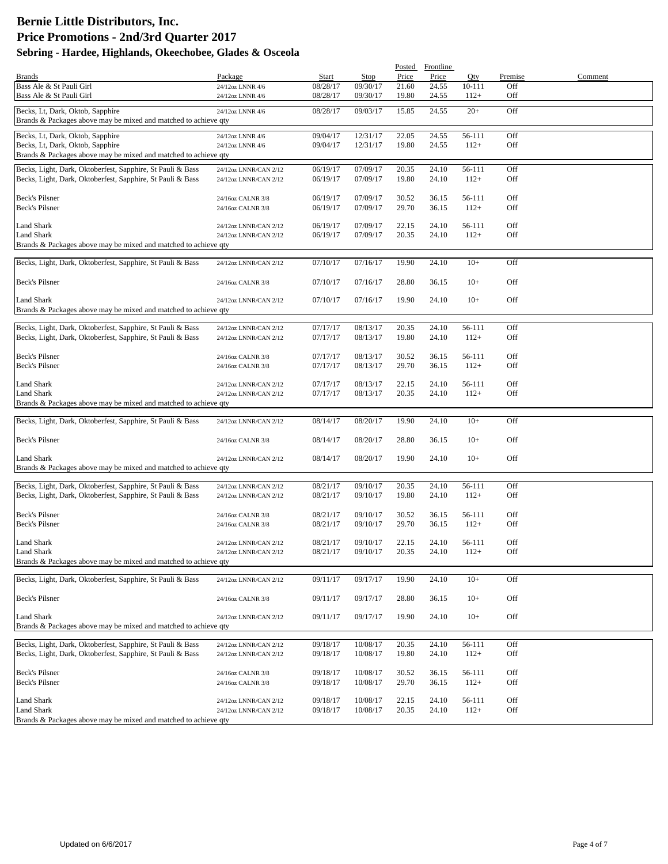|                                                                 |                                                |          |          |       | Posted Frontline |            |         |         |
|-----------------------------------------------------------------|------------------------------------------------|----------|----------|-------|------------------|------------|---------|---------|
| <b>Brands</b>                                                   | Package                                        | Start    | Stop     | Price | Price            | Qty        | Premise | Comment |
| Bass Ale & St Pauli Girl                                        | 24/12oz LNNR 4/6                               | 08/28/17 | 09/30/17 | 21.60 | 24.55            | $10 - 111$ | Off     |         |
| Bass Ale & St Pauli Girl                                        | 24/12oz LNNR 4/6                               | 08/28/17 | 09/30/17 | 19.80 | 24.55            | $112+$     | Off     |         |
| Becks, Lt, Dark, Oktob, Sapphire                                | 24/12oz LNNR 4/6                               | 08/28/17 | 09/03/17 | 15.85 | 24.55            | $20+$      | Off     |         |
| Brands & Packages above may be mixed and matched to achieve qty |                                                |          |          |       |                  |            |         |         |
| Becks, Lt, Dark, Oktob, Sapphire                                | 24/12oz LNNR 4/6                               | 09/04/17 | 12/31/17 | 22.05 | 24.55            | 56-111     | Off     |         |
| Becks, Lt, Dark, Oktob, Sapphire                                | 24/12oz LNNR 4/6                               | 09/04/17 | 12/31/17 | 19.80 | 24.55            | $112+$     | Off     |         |
| Brands & Packages above may be mixed and matched to achieve qty |                                                |          |          |       |                  |            |         |         |
| Becks, Light, Dark, Oktoberfest, Sapphire, St Pauli & Bass      | 24/12oz LNNR/CAN 2/12                          | 06/19/17 | 07/09/17 | 20.35 | 24.10            | 56-111     | Off     |         |
| Becks, Light, Dark, Oktoberfest, Sapphire, St Pauli & Bass      | 24/12oz LNNR/CAN 2/12                          | 06/19/17 | 07/09/17 | 19.80 | 24.10            | $112+$     | Off     |         |
|                                                                 |                                                |          |          |       |                  |            |         |         |
| Beck's Pilsner                                                  | 24/16oz CALNR 3/8                              | 06/19/17 | 07/09/17 | 30.52 | 36.15            | 56-111     | Off     |         |
| Beck's Pilsner                                                  | 24/16oz CALNR 3/8                              | 06/19/17 | 07/09/17 | 29.70 | 36.15            | $112+$     | Off     |         |
|                                                                 |                                                |          |          |       |                  |            |         |         |
| Land Shark                                                      | 24/12oz LNNR/CAN 2/12                          | 06/19/17 | 07/09/17 | 22.15 | 24.10            | 56-111     | Off     |         |
| <b>Land Shark</b>                                               | 24/12oz LNNR/CAN 2/12                          | 06/19/17 | 07/09/17 | 20.35 | 24.10            | $112+$     | Off     |         |
| Brands & Packages above may be mixed and matched to achieve qty |                                                |          |          |       |                  |            |         |         |
| Becks, Light, Dark, Oktoberfest, Sapphire, St Pauli & Bass      | 24/12oz LNNR/CAN 2/12                          | 07/10/17 | 07/16/17 | 19.90 | 24.10            | $10+$      | Off     |         |
|                                                                 |                                                |          |          |       |                  |            |         |         |
| Beck's Pilsner                                                  | 24/16oz CALNR 3/8                              | 07/10/17 | 07/16/17 | 28.80 | 36.15            | $10+$      | Off     |         |
|                                                                 |                                                |          |          |       |                  |            |         |         |
| Land Shark                                                      | 24/12oz LNNR/CAN 2/12                          | 07/10/17 | 07/16/17 | 19.90 | 24.10            | $10+$      | Off     |         |
| Brands & Packages above may be mixed and matched to achieve qty |                                                |          |          |       |                  |            |         |         |
| Becks, Light, Dark, Oktoberfest, Sapphire, St Pauli & Bass      | 24/12oz LNNR/CAN 2/12                          | 07/17/17 | 08/13/17 | 20.35 | 24.10            | 56-111     | Off     |         |
| Becks, Light, Dark, Oktoberfest, Sapphire, St Pauli & Bass      | 24/12oz LNNR/CAN 2/12                          | 07/17/17 | 08/13/17 | 19.80 | 24.10            | $112+$     | Off     |         |
|                                                                 |                                                |          |          |       |                  |            |         |         |
| Beck's Pilsner                                                  | 24/16oz CALNR 3/8                              | 07/17/17 | 08/13/17 | 30.52 | 36.15            | 56-111     | Off     |         |
| Beck's Pilsner                                                  | 24/16oz CALNR 3/8                              | 07/17/17 | 08/13/17 | 29.70 | 36.15            | $112+$     | Off     |         |
|                                                                 |                                                |          |          |       |                  |            |         |         |
| Land Shark<br>Land Shark                                        | 24/12oz LNNR/CAN 2/12                          | 07/17/17 | 08/13/17 | 22.15 | 24.10            | 56-111     | Off     |         |
| Brands & Packages above may be mixed and matched to achieve qty | 24/12oz LNNR/CAN 2/12                          | 07/17/17 | 08/13/17 | 20.35 | 24.10            | $112+$     | Off     |         |
|                                                                 |                                                |          |          |       |                  |            |         |         |
| Becks, Light, Dark, Oktoberfest, Sapphire, St Pauli & Bass      | 24/12oz LNNR/CAN 2/12                          | 08/14/17 | 08/20/17 | 19.90 | 24.10            | $10+$      | Off     |         |
|                                                                 |                                                |          |          |       |                  |            |         |         |
| Beck's Pilsner                                                  | 24/16oz CALNR 3/8                              | 08/14/17 | 08/20/17 | 28.80 | 36.15            | $10+$      | Off     |         |
|                                                                 |                                                |          |          |       |                  |            |         |         |
| Land Shark                                                      | 24/12oz LNNR/CAN 2/12                          | 08/14/17 | 08/20/17 | 19.90 | 24.10            | $10+$      | Off     |         |
| Brands & Packages above may be mixed and matched to achieve qty |                                                |          |          |       |                  |            |         |         |
| Becks, Light, Dark, Oktoberfest, Sapphire, St Pauli & Bass      | 24/12oz LNNR/CAN 2/12                          | 08/21/17 | 09/10/17 | 20.35 | 24.10            | 56-111     | Off     |         |
| Becks, Light, Dark, Oktoberfest, Sapphire, St Pauli & Bass      | 24/12oz LNNR/CAN 2/12                          | 08/21/17 | 09/10/17 | 19.80 | 24.10            | $112+$     | Off     |         |
|                                                                 |                                                |          |          |       |                  |            |         |         |
| Beck's Pilsner                                                  | 24/16oz CALNR 3/8                              | 08/21/17 | 09/10/17 | 30.52 | 36.15            | 56-111     | Off     |         |
| Beck's Pilsner                                                  | 24/16oz CALNR 3/8                              | 08/21/17 | 09/10/17 | 29.70 | 36.15            | $112+$     | Off     |         |
| Land Shark                                                      |                                                | 08/21/17 | 09/10/17 | 22.15 | 24.10            | 56-111     | Off     |         |
| <b>Land Shark</b>                                               | 24/12oz LNNR/CAN 2/12<br>24/12oz LNNR/CAN 2/12 | 08/21/17 | 09/10/17 | 20.35 | 24.10            | $112+$     | Off     |         |
| Brands & Packages above may be mixed and matched to achieve qty |                                                |          |          |       |                  |            |         |         |
|                                                                 |                                                |          |          |       |                  |            |         |         |
| Becks, Light, Dark, Oktoberfest, Sapphire, St Pauli & Bass      | 24/12oz LNNR/CAN 2/12                          | 09/11/17 | 09/17/17 | 19.90 | 24.10            | $10+$      | Off     |         |
|                                                                 |                                                |          |          |       |                  |            |         |         |
| Beck's Pilsner                                                  | 24/16oz CALNR 3/8                              | 09/11/17 | 09/17/17 | 28.80 | 36.15            | $10+$      | Off     |         |
| Land Shark                                                      | 24/12oz LNNR/CAN 2/12                          | 09/11/17 | 09/17/17 | 19.90 | 24.10            | $10+$      | Off     |         |
| Brands & Packages above may be mixed and matched to achieve qty |                                                |          |          |       |                  |            |         |         |
|                                                                 |                                                |          |          |       |                  |            |         |         |
| Becks, Light, Dark, Oktoberfest, Sapphire, St Pauli & Bass      | 24/12oz LNNR/CAN 2/12                          | 09/18/17 | 10/08/17 | 20.35 | 24.10            | 56-111     | Off     |         |
| Becks, Light, Dark, Oktoberfest, Sapphire, St Pauli & Bass      | 24/12oz LNNR/CAN 2/12                          | 09/18/17 | 10/08/17 | 19.80 | 24.10            | $112+$     | Off     |         |
|                                                                 |                                                |          |          |       |                  |            |         |         |
| Beck's Pilsner                                                  | 24/16oz CALNR 3/8                              | 09/18/17 | 10/08/17 | 30.52 | 36.15            | 56-111     | Off     |         |
| Beck's Pilsner                                                  | 24/16oz CALNR 3/8                              | 09/18/17 | 10/08/17 | 29.70 | 36.15            | $112+$     | Off     |         |
| Land Shark                                                      | 24/12oz LNNR/CAN 2/12                          | 09/18/17 | 10/08/17 | 22.15 | 24.10            | 56-111     | Off     |         |
| Land Shark                                                      | 24/12oz LNNR/CAN 2/12                          | 09/18/17 | 10/08/17 | 20.35 | 24.10            | $112+$     | Off     |         |
| Brands & Packages above may be mixed and matched to achieve qty |                                                |          |          |       |                  |            |         |         |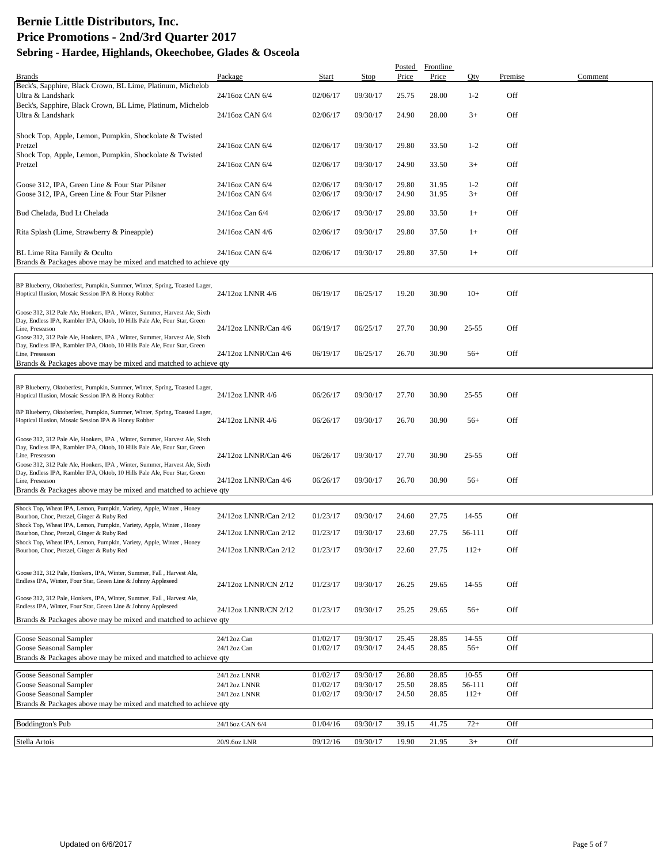|                                                                                                                                                                                                                                                        |                                    |                      |                      | Posted         | Frontline      |                 |            |         |
|--------------------------------------------------------------------------------------------------------------------------------------------------------------------------------------------------------------------------------------------------------|------------------------------------|----------------------|----------------------|----------------|----------------|-----------------|------------|---------|
| Brands<br>Beck's, Sapphire, Black Crown, BL Lime, Platinum, Michelob                                                                                                                                                                                   | Package                            | Start                | Stop                 | Price          | Price          | Oty             | Premise    | Comment |
| Ultra & Landshark<br>Beck's, Sapphire, Black Crown, BL Lime, Platinum, Michelob                                                                                                                                                                        | 24/16oz CAN 6/4                    | 02/06/17             | 09/30/17             | 25.75          | 28.00          | $1 - 2$         | Off        |         |
| Ultra & Landshark                                                                                                                                                                                                                                      | 24/16oz CAN 6/4                    | 02/06/17             | 09/30/17             | 24.90          | 28.00          | $3+$            | Off        |         |
| Shock Top, Apple, Lemon, Pumpkin, Shockolate & Twisted<br>Pretzel                                                                                                                                                                                      | 24/16oz CAN 6/4                    | 02/06/17             | 09/30/17             | 29.80          | 33.50          | $1 - 2$         | Off        |         |
| Shock Top, Apple, Lemon, Pumpkin, Shockolate & Twisted<br>Pretzel                                                                                                                                                                                      | 24/16oz CAN 6/4                    | 02/06/17             | 09/30/17             | 24.90          | 33.50          | $3+$            | Off        |         |
|                                                                                                                                                                                                                                                        |                                    |                      |                      |                |                |                 |            |         |
| Goose 312, IPA, Green Line & Four Star Pilsner<br>Goose 312, IPA, Green Line & Four Star Pilsner                                                                                                                                                       | 24/16oz CAN 6/4<br>24/16oz CAN 6/4 | 02/06/17<br>02/06/17 | 09/30/17<br>09/30/17 | 29.80<br>24.90 | 31.95<br>31.95 | $1 - 2$<br>$3+$ | Off<br>Off |         |
| Bud Chelada, Bud Lt Chelada                                                                                                                                                                                                                            | 24/16oz Can 6/4                    | 02/06/17             | 09/30/17             | 29.80          | 33.50          | $1+$            | Off        |         |
| Rita Splash (Lime, Strawberry & Pineapple)                                                                                                                                                                                                             | 24/16oz CAN 4/6                    | 02/06/17             | 09/30/17             | 29.80          | 37.50          | $1+$            | Off        |         |
| BL Lime Rita Family & Oculto<br>Brands & Packages above may be mixed and matched to achieve qty                                                                                                                                                        | 24/16oz CAN 6/4                    | 02/06/17             | 09/30/17             | 29.80          | 37.50          | $1+$            | Off        |         |
| BP Blueberry, Oktoberfest, Pumpkin, Summer, Winter, Spring, Toasted Lager,<br>Hoptical Illusion, Mosaic Session IPA & Honey Robber                                                                                                                     | 24/12oz LNNR 4/6                   | 06/19/17             | 06/25/17             | 19.20          | 30.90          | $10+$           | Off        |         |
| Goose 312, 312 Pale Ale, Honkers, IPA, Winter, Summer, Harvest Ale, Sixth<br>Day, Endless IPA, Rambler IPA, Oktob, 10 Hills Pale Ale, Four Star, Green<br>Line, Preseason                                                                              | 24/12oz LNNR/Can 4/6               | 06/19/17             | 06/25/17             | 27.70          | 30.90          | $25 - 55$       | Off        |         |
| Goose 312, 312 Pale Ale, Honkers, IPA, Winter, Summer, Harvest Ale, Sixth<br>Day, Endless IPA, Rambler IPA, Oktob, 10 Hills Pale Ale, Four Star, Green<br>Line, Preseason<br>Brands & Packages above may be mixed and matched to achieve qty           | 24/12oz LNNR/Can 4/6               | 06/19/17             | 06/25/17             | 26.70          | 30.90          | $56+$           | Off        |         |
|                                                                                                                                                                                                                                                        |                                    |                      |                      |                |                |                 |            |         |
| BP Blueberry, Oktoberfest, Pumpkin, Summer, Winter, Spring, Toasted Lager,<br>Hoptical Illusion, Mosaic Session IPA & Honey Robber                                                                                                                     | 24/12oz LNNR 4/6                   | 06/26/17             | 09/30/17             | 27.70          | 30.90          | 25-55           | Off        |         |
| BP Blueberry, Oktoberfest, Pumpkin, Summer, Winter, Spring, Toasted Lager,<br>Hoptical Illusion, Mosaic Session IPA & Honey Robber                                                                                                                     | 24/12oz LNNR 4/6                   | 06/26/17             | 09/30/17             | 26.70          | 30.90          | $56+$           | Off        |         |
| Goose 312, 312 Pale Ale, Honkers, IPA, Winter, Summer, Harvest Ale, Sixth<br>Day, Endless IPA, Rambler IPA, Oktob, 10 Hills Pale Ale, Four Star, Green<br>Line, Preseason<br>Goose 312, 312 Pale Ale, Honkers, IPA, Winter, Summer, Harvest Ale, Sixth | 24/12oz LNNR/Can 4/6               | 06/26/17             | 09/30/17             | 27.70          | 30.90          | 25-55           | Off        |         |
| Day, Endless IPA, Rambler IPA, Oktob, 10 Hills Pale Ale, Four Star, Green<br>Line, Preseason<br>Brands & Packages above may be mixed and matched to achieve qty                                                                                        | 24/12oz LNNR/Can 4/6               | 06/26/17             | 09/30/17             | 26.70          | 30.90          | $56+$           | Off        |         |
| Shock Top, Wheat IPA, Lemon, Pumpkin, Variety, Apple, Winter, Honey<br>Bourbon, Choc, Pretzel, Ginger & Ruby Red                                                                                                                                       | 24/12oz LNNR/Can 2/12              | 01/23/17             | 09/30/17             | 24.60          | 27.75          | 14-55           | Off        |         |
| Shock Top, Wheat IPA, Lemon, Pumpkin, Variety, Apple, Winter, Honey<br>Bourbon, Choc, Pretzel, Ginger & Ruby Red                                                                                                                                       | 24/12oz LNNR/Can 2/12              | 01/23/17             | 09/30/17             | 23.60          | 27.75          | 56-111          | Off        |         |
| Shock Top, Wheat IPA, Lemon, Pumpkin, Variety, Apple, Winter, Honey<br>Bourbon, Choc, Pretzel, Ginger & Ruby Red                                                                                                                                       | 24/12oz LNNR/Can 2/12              | 01/23/17             | 09/30/17             | 22.60          | 27.75          | $112+$          | Off        |         |
| Goose 312, 312 Pale, Honkers, IPA, Winter, Summer, Fall, Harvest Ale,<br>Endless IPA, Winter, Four Star, Green Line & Johnny Appleseed                                                                                                                 | 24/12oz LNNR/CN 2/12               | 01/23/17             | 09/30/17             | 26.25          | 29.65          | 14-55           | Off        |         |
| Goose 312, 312 Pale, Honkers, IPA, Winter, Summer, Fall, Harvest Ale,<br>Endless IPA, Winter, Four Star, Green Line & Johnny Appleseed                                                                                                                 | 24/12oz LNNR/CN 2/12               | 01/23/17             | 09/30/17             | 25.25          | 29.65          | $56+$           | Off        |         |
| Brands & Packages above may be mixed and matched to achieve qty                                                                                                                                                                                        |                                    |                      |                      |                |                |                 |            |         |
| Goose Seasonal Sampler<br>Goose Seasonal Sampler                                                                                                                                                                                                       | 24/12oz Can<br>24/12oz Can         | 01/02/17<br>01/02/17 | 09/30/17<br>09/30/17 | 25.45<br>24.45 | 28.85<br>28.85 | 14-55<br>$56+$  | Off<br>Off |         |
| Brands & Packages above may be mixed and matched to achieve qty                                                                                                                                                                                        |                                    |                      |                      |                |                |                 |            |         |
| Goose Seasonal Sampler                                                                                                                                                                                                                                 | 24/12oz LNNR                       | 01/02/17             | 09/30/17             | 26.80          | 28.85          | $10 - 55$       | Off        |         |
| Goose Seasonal Sampler                                                                                                                                                                                                                                 | 24/12oz LNNR                       | 01/02/17             | 09/30/17             | 25.50          | 28.85          | 56-111          | Off        |         |
| Goose Seasonal Sampler<br>Brands & Packages above may be mixed and matched to achieve qty                                                                                                                                                              | 24/12oz LNNR                       | 01/02/17             | 09/30/17             | 24.50          | 28.85          | $112+$          | Off        |         |
| <b>Boddington's Pub</b>                                                                                                                                                                                                                                | 24/16oz CAN 6/4                    | 01/04/16             | 09/30/17             | 39.15          | 41.75          | $72+$           | Off        |         |
| Stella Artois                                                                                                                                                                                                                                          | 20/9.6oz LNR                       | 09/12/16             | 09/30/17             | 19.90          | 21.95          | $3+$            | Off        |         |
|                                                                                                                                                                                                                                                        |                                    |                      |                      |                |                |                 |            |         |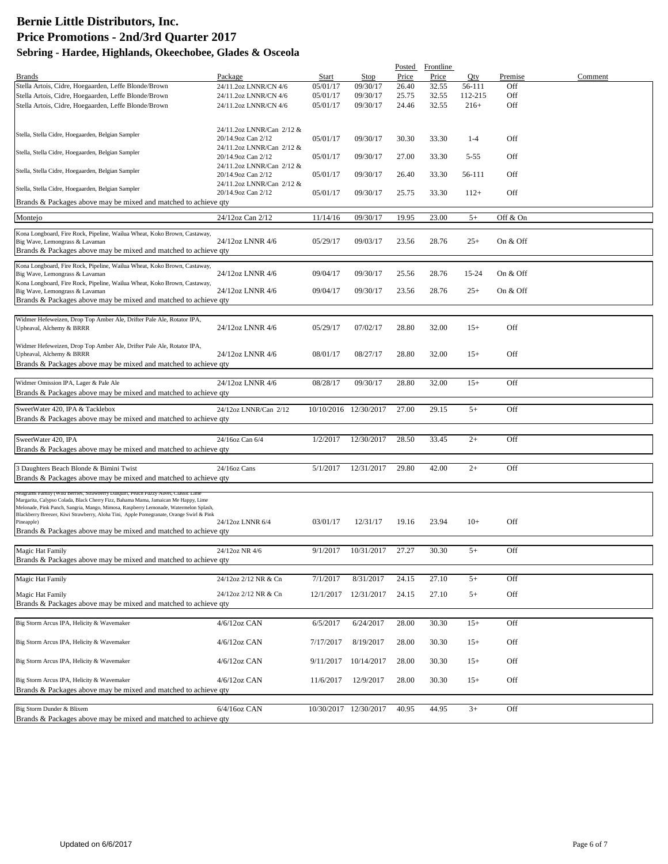|                                                                                                                                                                          |                                                 |           |                       |       | Posted Frontline |          |          |         |
|--------------------------------------------------------------------------------------------------------------------------------------------------------------------------|-------------------------------------------------|-----------|-----------------------|-------|------------------|----------|----------|---------|
| <b>Brands</b>                                                                                                                                                            | Package                                         | Start     | <b>Stop</b>           | Price | Price            | Qty      | Premise  | Comment |
| Stella Artois, Cidre, Hoegaarden, Leffe Blonde/Brown                                                                                                                     | 24/11.2oz LNNR/CN 4/6                           | 05/01/17  | 09/30/17              | 26.40 | 32.55            | 56-111   | Off      |         |
| Stella Artois, Cidre, Hoegaarden, Leffe Blonde/Brown                                                                                                                     | 24/11.2oz LNNR/CN 4/6                           | 05/01/17  | 09/30/17              | 25.75 | 32.55            | 112-215  | Off      |         |
| Stella Artois, Cidre, Hoegaarden, Leffe Blonde/Brown                                                                                                                     | 24/11.2oz LNNR/CN 4/6                           | 05/01/17  | 09/30/17              | 24.46 | 32.55            | $216+$   | Off      |         |
|                                                                                                                                                                          |                                                 |           |                       |       |                  |          |          |         |
| Stella, Stella Cidre, Hoegaarden, Belgian Sampler                                                                                                                        | 24/11.2oz LNNR/Can 2/12 &                       |           |                       |       |                  |          |          |         |
|                                                                                                                                                                          | 20/14.9oz Can 2/12                              | 05/01/17  | 09/30/17              | 30.30 | 33.30            | $1 - 4$  | Off      |         |
| Stella, Stella Cidre, Hoegaarden, Belgian Sampler                                                                                                                        | 24/11.2oz LNNR/Can 2/12 &                       |           |                       |       |                  |          |          |         |
|                                                                                                                                                                          | 20/14.9oz Can 2/12<br>24/11.2oz LNNR/Can 2/12 & | 05/01/17  | 09/30/17              | 27.00 | 33.30            | $5 - 55$ | Off      |         |
| Stella, Stella Cidre, Hoegaarden, Belgian Sampler                                                                                                                        | 20/14.9oz Can 2/12                              | 05/01/17  | 09/30/17              | 26.40 | 33.30            | 56-111   | Off      |         |
|                                                                                                                                                                          | 24/11.2oz LNNR/Can 2/12 &                       |           |                       |       |                  |          |          |         |
| Stella, Stella Cidre, Hoegaarden, Belgian Sampler                                                                                                                        | 20/14.9oz Can 2/12                              | 05/01/17  | 09/30/17              | 25.75 | 33.30            | $112+$   | Off      |         |
| Brands & Packages above may be mixed and matched to achieve qty                                                                                                          |                                                 |           |                       |       |                  |          |          |         |
| Montejo                                                                                                                                                                  | 24/12oz Can 2/12                                | 11/14/16  | 09/30/17              | 19.95 | 23.00            | $5+$     | Off & On |         |
|                                                                                                                                                                          |                                                 |           |                       |       |                  |          |          |         |
| Kona Longboard, Fire Rock, Pipeline, Wailua Wheat, Koko Brown, Castaway,                                                                                                 |                                                 |           |                       |       |                  |          |          |         |
| Big Wave, Lemongrass & Lavaman                                                                                                                                           | 24/12oz LNNR 4/6                                | 05/29/17  | 09/03/17              | 23.56 | 28.76            | $25+$    | On & Off |         |
| Brands & Packages above may be mixed and matched to achieve qty                                                                                                          |                                                 |           |                       |       |                  |          |          |         |
| Kona Longboard, Fire Rock, Pipeline, Wailua Wheat, Koko Brown, Castaway,                                                                                                 |                                                 |           |                       |       |                  |          |          |         |
| Big Wave, Lemongrass & Lavaman                                                                                                                                           | 24/12oz LNNR 4/6                                | 09/04/17  | 09/30/17              | 25.56 | 28.76            | 15-24    | On & Off |         |
| Kona Longboard, Fire Rock, Pipeline, Wailua Wheat, Koko Brown, Castaway,<br>Big Wave, Lemongrass & Lavaman                                                               | 24/12oz LNNR 4/6                                | 09/04/17  | 09/30/17              | 23.56 | 28.76            | $25+$    | On & Off |         |
| Brands & Packages above may be mixed and matched to achieve qty                                                                                                          |                                                 |           |                       |       |                  |          |          |         |
|                                                                                                                                                                          |                                                 |           |                       |       |                  |          |          |         |
| Widmer Hefeweizen, Drop Top Amber Ale, Drifter Pale Ale, Rotator IPA,                                                                                                    |                                                 |           |                       |       |                  |          |          |         |
| Upheaval, Alchemy & BRRR                                                                                                                                                 | 24/12oz LNNR 4/6                                | 05/29/17  | 07/02/17              | 28.80 | 32.00            | $15+$    | Off      |         |
|                                                                                                                                                                          |                                                 |           |                       |       |                  |          |          |         |
| Widmer Hefeweizen, Drop Top Amber Ale, Drifter Pale Ale, Rotator IPA,<br>Upheaval, Alchemy & BRRR                                                                        | 24/12oz LNNR 4/6                                | 08/01/17  | 08/27/17              | 28.80 | 32.00            | $15+$    | Off      |         |
| Brands & Packages above may be mixed and matched to achieve qty                                                                                                          |                                                 |           |                       |       |                  |          |          |         |
|                                                                                                                                                                          |                                                 |           |                       |       |                  |          |          |         |
| Widmer Omission IPA, Lager & Pale Ale                                                                                                                                    | 24/12oz LNNR 4/6                                | 08/28/17  | 09/30/17              | 28.80 | 32.00            | $15+$    | Off      |         |
| Brands & Packages above may be mixed and matched to achieve qty                                                                                                          |                                                 |           |                       |       |                  |          |          |         |
|                                                                                                                                                                          |                                                 |           |                       |       |                  |          |          |         |
| SweetWater 420, IPA & Tacklebox                                                                                                                                          | 24/12oz LNNR/Can 2/12                           |           | 10/10/2016 12/30/2017 | 27.00 | 29.15            | $5+$     | Off      |         |
| Brands & Packages above may be mixed and matched to achieve qty                                                                                                          |                                                 |           |                       |       |                  |          |          |         |
| SweetWater 420, IPA                                                                                                                                                      |                                                 |           |                       | 28.50 | 33.45            | $2+$     |          |         |
| Brands & Packages above may be mixed and matched to achieve qty                                                                                                          | 24/16oz Can 6/4                                 | 1/2/2017  | 12/30/2017            |       |                  |          | Off      |         |
|                                                                                                                                                                          |                                                 |           |                       |       |                  |          |          |         |
| 3 Daughters Beach Blonde & Bimini Twist                                                                                                                                  | $24/16$ oz Cans                                 | 5/1/2017  | 12/31/2017            | 29.80 | 42.00            | $2+$     | Off      |         |
| Brands & Packages above may be mixed and matched to achieve qty                                                                                                          |                                                 |           |                       |       |                  |          |          |         |
|                                                                                                                                                                          |                                                 |           |                       |       |                  |          |          |         |
| Seagrams ramily (Wild Berries, Strawberry Daiquiri, Peach Fuzzy Navel, Classic Lim<br>Margarita, Calypso Colada, Black Cherry Fizz, Bahama Mama, Jamaican Me Happy, Lime |                                                 |           |                       |       |                  |          |          |         |
| Melonade, Pink Punch, Sangria, Mango, Mimosa, Raspberry Lemonade, Watermelon Splash,                                                                                     |                                                 |           |                       |       |                  |          |          |         |
| Blackberry Breezer, Kiwi Strawberry, Aloha Tini, Apple Pomegranate, Orange Swirl & Pink<br>Pineapple)                                                                    | 24/12oz LNNR 6/4                                | 03/01/17  | 12/31/17              | 19.16 | 23.94            | $10+$    | Off      |         |
| Brands & Packages above may be mixed and matched to achieve qty                                                                                                          |                                                 |           |                       |       |                  |          |          |         |
|                                                                                                                                                                          |                                                 |           |                       |       |                  |          |          |         |
| Magic Hat Family                                                                                                                                                         | 24/12oz NR 4/6                                  | 9/1/2017  | 10/31/2017            | 27.27 | 30.30            | $5+$     | Off      |         |
| Brands & Packages above may be mixed and matched to achieve qty                                                                                                          |                                                 |           |                       |       |                  |          |          |         |
|                                                                                                                                                                          |                                                 |           |                       |       |                  |          |          |         |
| Magic Hat Family                                                                                                                                                         | 24/12oz 2/12 NR & Cn                            | 7/1/2017  | 8/31/2017             | 24.15 | 27.10            | $5+$     | Off      |         |
| Magic Hat Family                                                                                                                                                         | 24/12oz 2/12 NR & Cn                            |           | 12/1/2017 12/31/2017  | 24.15 | 27.10            | $5+$     | Off      |         |
| Brands & Packages above may be mixed and matched to achieve qty                                                                                                          |                                                 |           |                       |       |                  |          |          |         |
|                                                                                                                                                                          |                                                 |           |                       |       |                  |          |          |         |
| Big Storm Arcus IPA, Helicity & Wavemaker                                                                                                                                | 4/6/12oz CAN                                    | 6/5/2017  | 6/24/2017             | 28.00 | 30.30            | $15+$    | Off      |         |
|                                                                                                                                                                          |                                                 |           |                       |       |                  |          |          |         |
| Big Storm Arcus IPA, Helicity & Wavemaker                                                                                                                                | 4/6/12oz CAN                                    | 7/17/2017 | 8/19/2017             | 28.00 | 30.30            | $15+$    | Off      |         |
|                                                                                                                                                                          | 4/6/12oz CAN                                    |           |                       |       |                  |          |          |         |
| Big Storm Arcus IPA, Helicity & Wavemaker                                                                                                                                |                                                 | 9/11/2017 | 10/14/2017            | 28.00 | 30.30            | $15+$    | Off      |         |
| Big Storm Arcus IPA, Helicity & Wavemaker                                                                                                                                | $4/6/12$ oz CAN                                 | 11/6/2017 | 12/9/2017             | 28.00 | 30.30            | $15+$    | Off      |         |
| Brands & Packages above may be mixed and matched to achieve qty                                                                                                          |                                                 |           |                       |       |                  |          |          |         |
|                                                                                                                                                                          |                                                 |           |                       |       |                  |          |          |         |
| Big Storm Dunder & Blixem                                                                                                                                                | 6/4/16oz CAN                                    |           | 10/30/2017 12/30/2017 | 40.95 | 44.95            | $3+$     | Off      |         |
| Brands & Packages above may be mixed and matched to achieve qty                                                                                                          |                                                 |           |                       |       |                  |          |          |         |